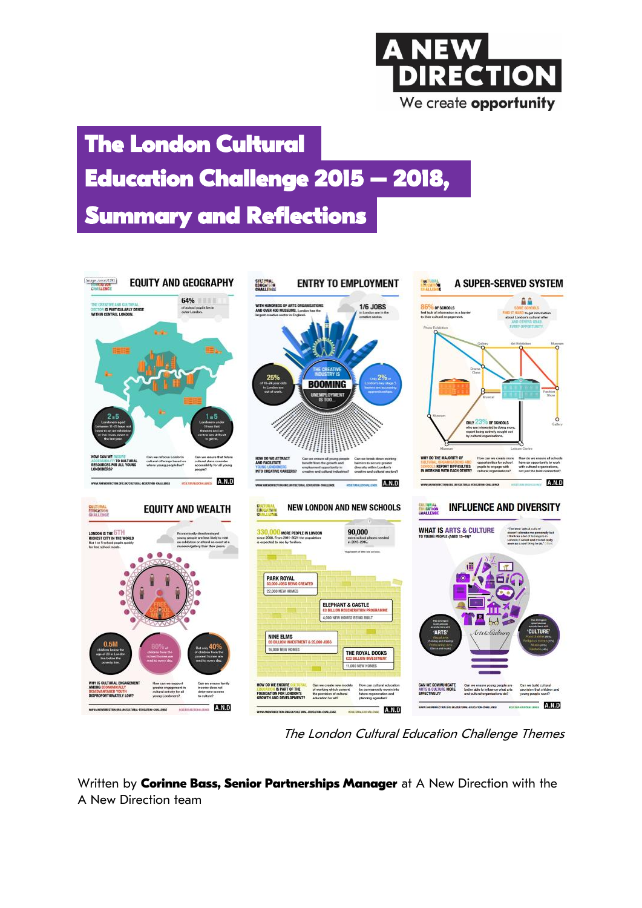# E We create opportunity

## **The London Cultural Summary and Reflections Education Challenge 2015 – 2018,**

#### **EQUITY AND GEOGRAPHY**  $\frac{\text{Image/base}/1795}{100000000}$ **ENTRY TO EMPLOYMENT** A SUPER-SERVED SYSTEM **CULTURAL**<br>EDUCATION 64% ââ 1/6 JOBS WITH HUNDREDS OF<br>AND OVER 400 MUSI **THE IS PARTICULARLY DENSE**<br>THIN CENTRAL LONDON to get i **BOOMING**  $\circ$ cultural offerings based of **E REPORT DIFFICULTIES** A.N.D **A.N.D A.N.D INFLUENCE AND DIVERSITY NEW LONDON AND NEW SCHOOLS EQUITY AND WEALTH** EULTURAL<br>EDUCATION<br>CHAI I EBRI **WHAT IS ARTS & CULTURE** MORE PEOPLE IN LO<br>= 2011-2021 the popul 90,000 PARK ROYAL **G CREATED** 22.000 NEW HOME ELEPHANT & CASTLE 4,000 NEW HOMES BEING BUIL NINE ELMS 16,000 NEW HOMES THE ROYAL DOCKS **CA PINA MIERE MANAGE** CATE Can w<br>better A.N.D **EXTRAGERENCE** A.N.D  $A.N.D$

The London Cultural Education Challenge Themes

Written by **Corinne Bass, Senior Partnerships Manager** at A New Direction with the A New Direction team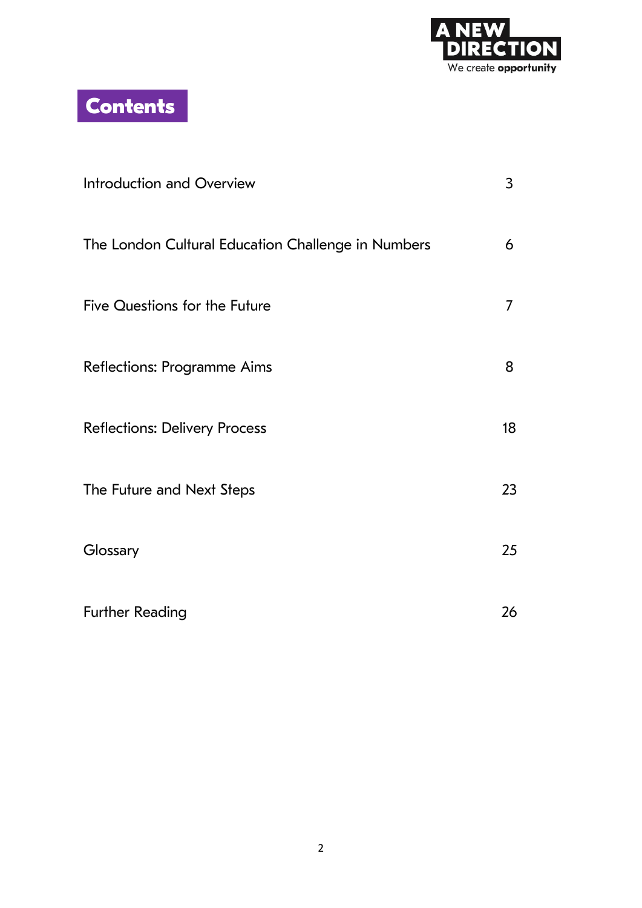

**Contents**

| Introduction and Overview                          | 3  |
|----------------------------------------------------|----|
| The London Cultural Education Challenge in Numbers | 6  |
| Five Questions for the Future                      | 7  |
| Reflections: Programme Aims                        | 8  |
| <b>Reflections: Delivery Process</b>               | 18 |
| The Future and Next Steps                          | 23 |
| Glossary                                           | 25 |
| <b>Further Reading</b>                             | 26 |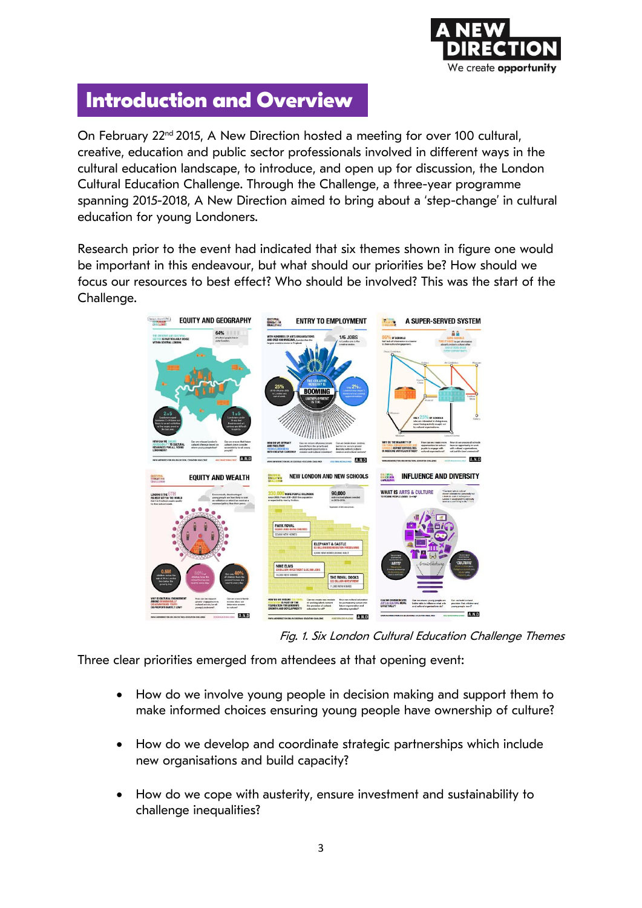

### **Introduction and Overview**

On February 22<sup>nd</sup> 2015, A New Direction hosted a meeting for over 100 cultural, creative, education and public sector professionals involved in different ways in the cultural education landscape, to introduce, and open up for discussion, the London Cultural Education Challenge. Through the Challenge, a three-year programme spanning 2015-2018, A New Direction aimed to bring about a 'step-change' in cultural education for young Londoners.

Research prior to the event had indicated that six themes shown in figure one would be important in this endeavour, but what should our priorities be? How should we focus our resources to best effect? Who should be involved? This was the start of the Challenge.



Fig. 1. Six London Cultural Education Challenge Themes

Three clear priorities emerged from attendees at that opening event:

- How do we involve young people in decision making and support them to make informed choices ensuring young people have ownership of culture?
- How do we develop and coordinate strategic partnerships which include new organisations and build capacity?
- How do we cope with austerity, ensure investment and sustainability to challenge inequalities?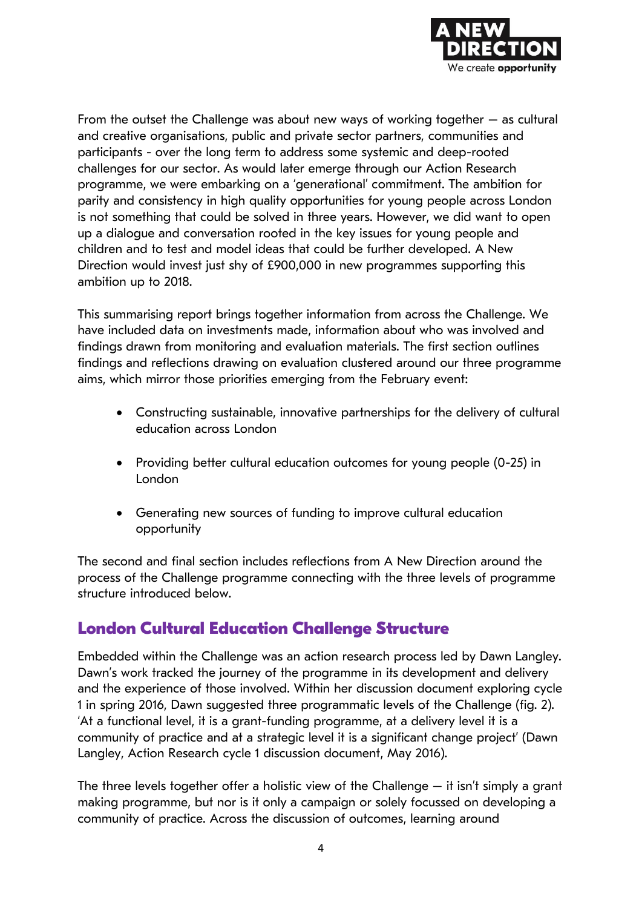

From the outset the Challenge was about new ways of working together  $-$  as cultural and creative organisations, public and private sector partners, communities and participants - over the long term to address some systemic and deep-rooted challenges for our sector. As would later emerge through our Action Research programme, we were embarking on a 'generational' commitment. The ambition for parity and consistency in high quality opportunities for young people across London is not something that could be solved in three years. However, we did want to open up a dialogue and conversation rooted in the key issues for young people and children and to test and model ideas that could be further developed. A New Direction would invest just shy of £900,000 in new programmes supporting this ambition up to 2018.

This summarising report brings together information from across the Challenge. We have included data on investments made, information about who was involved and findings drawn from monitoring and evaluation materials. The first section outlines findings and reflections drawing on evaluation clustered around our three programme aims, which mirror those priorities emerging from the February event:

- Constructing sustainable, innovative partnerships for the delivery of cultural education across London
- Providing better cultural education outcomes for young people (0-25) in London
- Generating new sources of funding to improve cultural education opportunity

The second and final section includes reflections from A New Direction around the process of the Challenge programme connecting with the three levels of programme structure introduced below.

#### **London Cultural Education Challenge Structure**

Embedded within the Challenge was an action research process led by Dawn Langley. Dawn's work tracked the journey of the programme in its development and delivery and the experience of those involved. Within her discussion document exploring cycle 1 in spring 2016, Dawn suggested three programmatic levels of the Challenge (fig. 2). 'At a functional level, it is a grant-funding programme, at a delivery level it is a community of practice and at a strategic level it is a significant change project' (Dawn Langley, Action Research cycle 1 discussion document, May 2016).

The three levels together offer a holistic view of the Challenge  $-$  it isn't simply a grant making programme, but nor is it only a campaign or solely focussed on developing a community of practice. Across the discussion of outcomes, learning around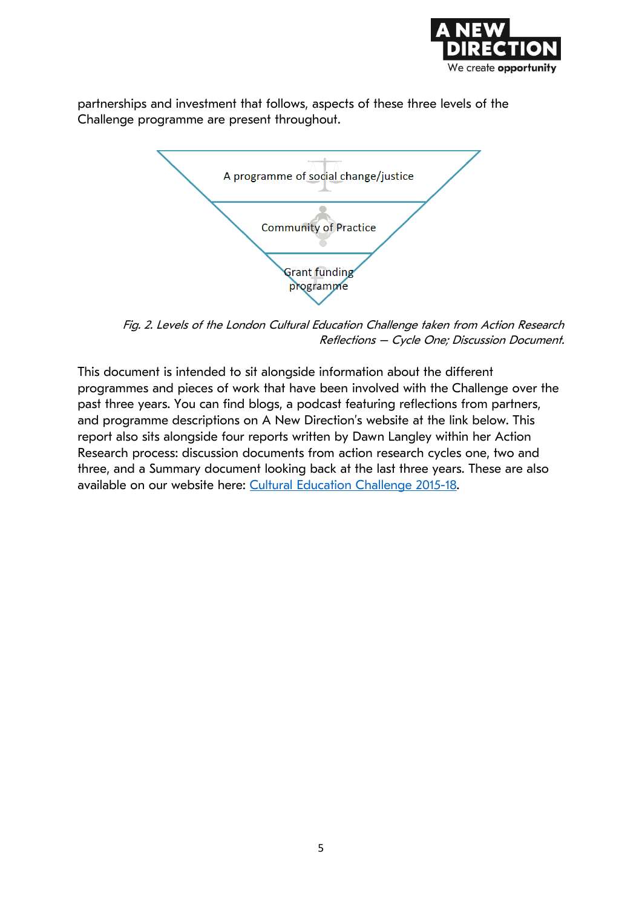

partnerships and investment that follows, aspects of these three levels of the Challenge programme are present throughout.



Fig. 2. Levels of the London Cultural Education Challenge taken from Action Research Reflections – Cycle One; Discussion Document.

This document is intended to sit alongside information about the different programmes and pieces of work that have been involved with the Challenge over the past three years. You can find blogs, a podcast featuring reflections from partners, and programme descriptions on A New Direction's website at the link below. This report also sits alongside four reports written by Dawn Langley within her Action Research process: discussion documents from action research cycles one, two and three, and a Summary document looking back at the last three years. These are also available on our website here: [Cultural Education Challenge 2015-18.](https://www.anewdirection.org.uk/what-we-do/cultural-education-challenge)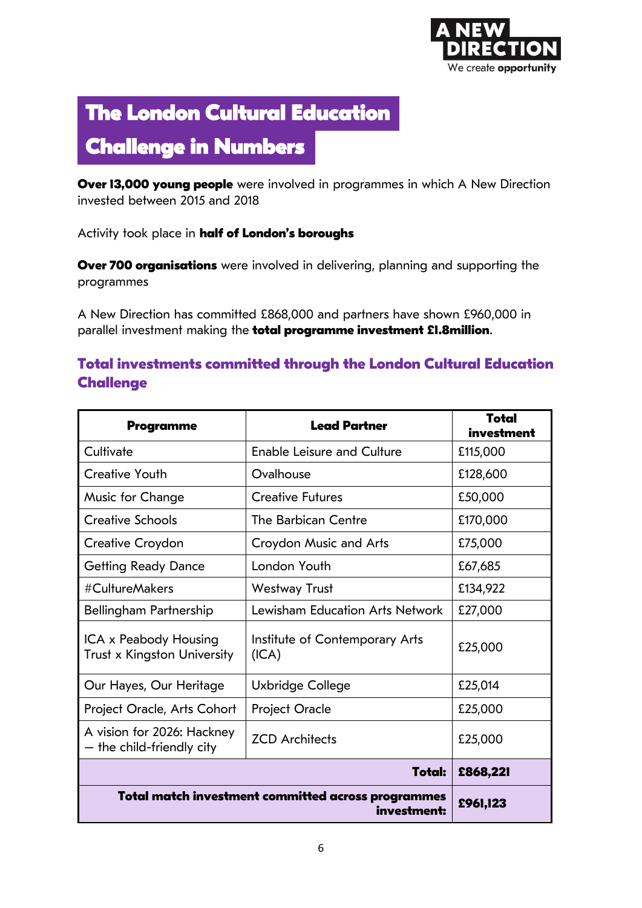

## **The London Cultural Education**

### **Challenge in Numbers**

**Over 13,000 young people** were involved in programmes in which A New Direction invested between 2015 and 2018

Activity took place in **half of London's boroughs**

**Over 700 organisations** were involved in delivering, planning and supporting the programmes

A New Direction has committed £868,000 and partners have shown £960,000 in parallel investment making the **total programme investment £1.8million**.

#### **Total investments committed through the London Cultural Education Challenge**

| Programme                                               | <b>Lead Partner</b>                                               | Total<br>investment |
|---------------------------------------------------------|-------------------------------------------------------------------|---------------------|
| Cultivate                                               | <b>Enable Leisure and Culture</b>                                 | £115,000            |
| <b>Creative Youth</b>                                   | Ovalhouse                                                         | £128,600            |
| Music for Change                                        | <b>Creative Futures</b>                                           | £50,000             |
| <b>Creative Schools</b>                                 | The Barbican Centre                                               | £170,000            |
| Creative Croydon                                        | Croydon Music and Arts                                            | £75,000             |
| <b>Getting Ready Dance</b>                              | London Youth                                                      | £67,685             |
| #CultureMakers                                          | Westway Trust                                                     | £134,922            |
| Bellingham Partnership                                  | Lewisham Education Arts Network                                   | £27,000             |
| ICA x Peabody Housing<br>Trust x Kingston University    | Institute of Contemporary Arts<br>(ICA)                           | £25,000             |
| Our Hayes, Our Heritage                                 | Uxbridge College                                                  | £25,014             |
| Project Oracle, Arts Cohort                             | <b>Project Oracle</b>                                             | £25,000             |
| A vision for 2026: Hackney<br>- the child-friendly city | <b>ZCD</b> Architects                                             | £25,000             |
|                                                         | <b>Total:</b>                                                     | £868,221            |
|                                                         | Total match investment committed across programmes<br>investment: | £961,123            |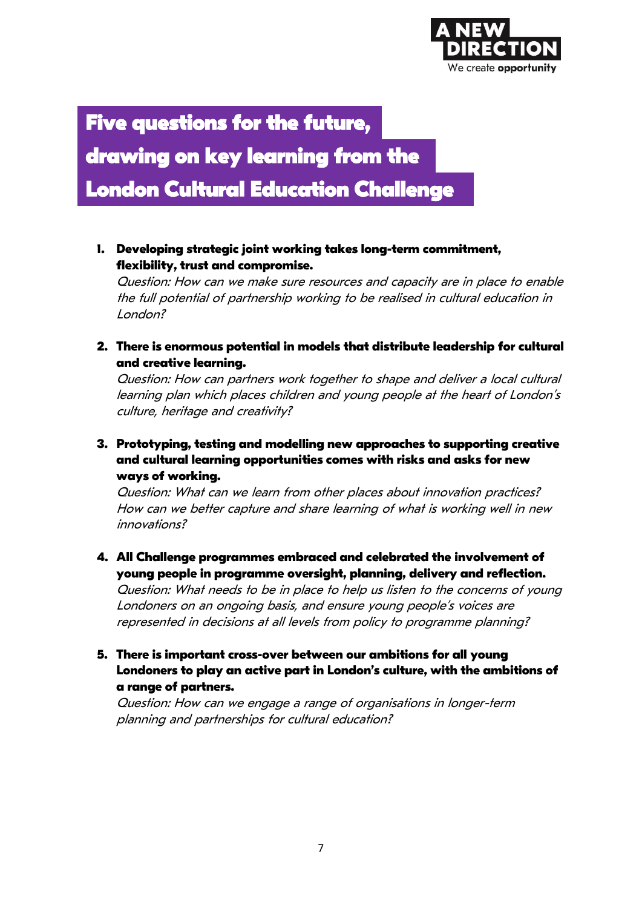

### **Five questions for the future,**

**drawing on key learning from the** 

**London Cultural Education Challenge** 

**1. Developing strategic joint working takes long-term commitment, flexibility, trust and compromise.**

Question: How can we make sure resources and capacity are in place to enable the full potential of partnership working to be realised in cultural education in London?

**2. There is enormous potential in models that distribute leadership for cultural and creative learning.** 

Question: How can partners work together to shape and deliver a local cultural learning plan which places children and young people at the heart of London's culture, heritage and creativity?

**3. Prototyping, testing and modelling new approaches to supporting creative and cultural learning opportunities comes with risks and asks for new ways of working.**

Question: What can we learn from other places about innovation practices? How can we better capture and share learning of what is working well in new innovations?

**4. All Challenge programmes embraced and celebrated the involvement of young people in programme oversight, planning, delivery and reflection.** 

Question: What needs to be in place to help us listen to the concerns of young Londoners on an ongoing basis, and ensure young people's voices are represented in decisions at all levels from policy to programme planning?

**5. There is important cross-over between our ambitions for all young Londoners to play an active part in London's culture, with the ambitions of a range of partners.** 

Question: How can we engage a range of organisations in longer-term planning and partnerships for cultural education?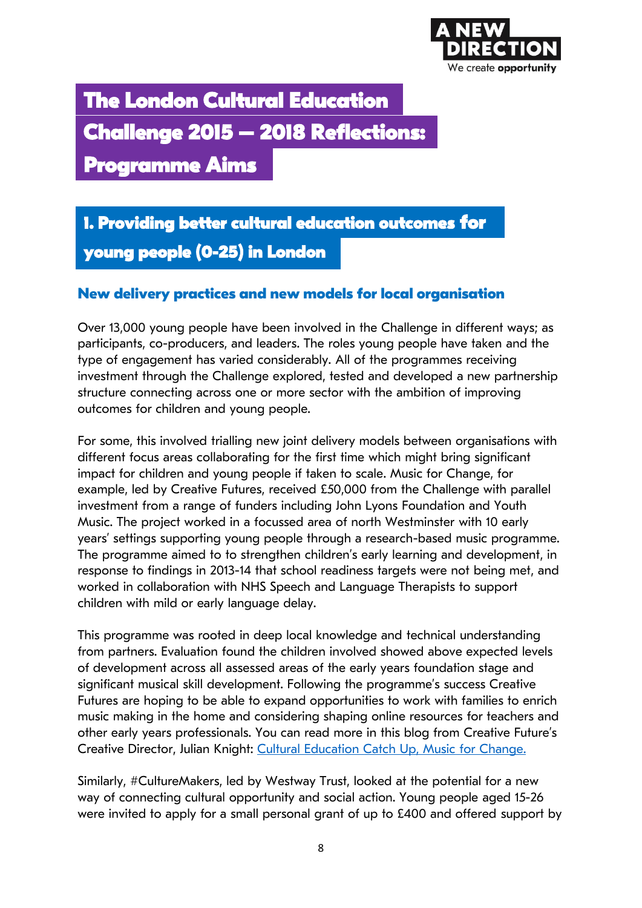

## **The London Cultural Education Challenge 2015 – 2018 Reflections: Programme Aims**

**1. Providing better cultural education outcomes for young people (0-25) in London** 

#### **New delivery practices and new models for local organisation**

Over 13,000 young people have been involved in the Challenge in different ways; as participants, co-producers, and leaders. The roles young people have taken and the type of engagement has varied considerably. All of the programmes receiving investment through the Challenge explored, tested and developed a new partnership structure connecting across one or more sector with the ambition of improving outcomes for children and young people.

For some, this involved trialling new joint delivery models between organisations with different focus areas collaborating for the first time which might bring significant impact for children and young people if taken to scale. Music for Change, for example, led by Creative Futures, received £50,000 from the Challenge with parallel investment from a range of funders including John Lyons Foundation and Youth Music. The project worked in a focussed area of north Westminster with 10 early years' settings supporting young people through a research-based music programme. The programme aimed to to strengthen children's early learning and development, in response to findings in 2013-14 that school readiness targets were not being met, and worked in collaboration with NHS Speech and Language Therapists to support children with mild or early language delay.

This programme was rooted in deep local knowledge and technical understanding from partners. Evaluation found the children involved showed above expected levels of development across all assessed areas of the early years foundation stage and significant musical skill development. Following the programme's success Creative Futures are hoping to be able to expand opportunities to work with families to enrich music making in the home and considering shaping online resources for teachers and other early years professionals. You can read more in this blog from Creative Future's Creative Director, Julian Knight: [Cultural Education Catch Up, Music for Change.](https://www.anewdirection.org.uk/blog/cultural-education-challenge-catch-up-music-for-change)

Similarly, #CultureMakers, led by Westway Trust, looked at the potential for a new way of connecting cultural opportunity and social action. Young people aged 15-26 were invited to apply for a small personal grant of up to £400 and offered support by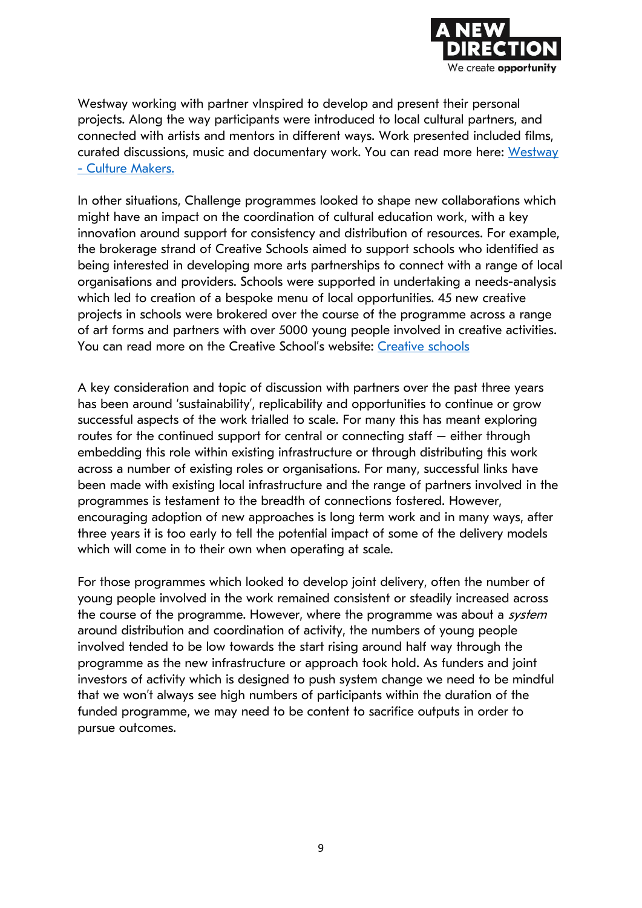

Westway working with partner vinspired to develop and present their personal projects. Along the way participants were introduced to local cultural partners, and connected with artists and mentors in different ways. Work presented included films, curated discussions, music and documentary work. You can read more here: Westway - [Culture Makers.](http://www.westway.org/sites/default/files/downloads/culturemakers.pdf)

In other situations, Challenge programmes looked to shape new collaborations which might have an impact on the coordination of cultural education work, with a key innovation around support for consistency and distribution of resources. For example, the brokerage strand of Creative Schools aimed to support schools who identified as being interested in developing more arts partnerships to connect with a range of local organisations and providers. Schools were supported in undertaking a needs-analysis which led to creation of a bespoke menu of local opportunities. 45 new creative projects in schools were brokered over the course of the programme across a range of art forms and partners with over 5000 young people involved in creative activities. You can read more on the Creative School's website: [Creative schools](http://creativeschools.london/creative-schools-brokerage/)

A key consideration and topic of discussion with partners over the past three years has been around 'sustainability', replicability and opportunities to continue or grow successful aspects of the work trialled to scale. For many this has meant exploring routes for the continued support for central or connecting staff – either through embedding this role within existing infrastructure or through distributing this work across a number of existing roles or organisations. For many, successful links have been made with existing local infrastructure and the range of partners involved in the programmes is testament to the breadth of connections fostered. However, encouraging adoption of new approaches is long term work and in many ways, after three years it is too early to tell the potential impact of some of the delivery models which will come in to their own when operating at scale.

For those programmes which looked to develop joint delivery, often the number of young people involved in the work remained consistent or steadily increased across the course of the programme. However, where the programme was about a system around distribution and coordination of activity, the numbers of young people involved tended to be low towards the start rising around half way through the programme as the new infrastructure or approach took hold. As funders and joint investors of activity which is designed to push system change we need to be mindful that we won't always see high numbers of participants within the duration of the funded programme, we may need to be content to sacrifice outputs in order to pursue outcomes.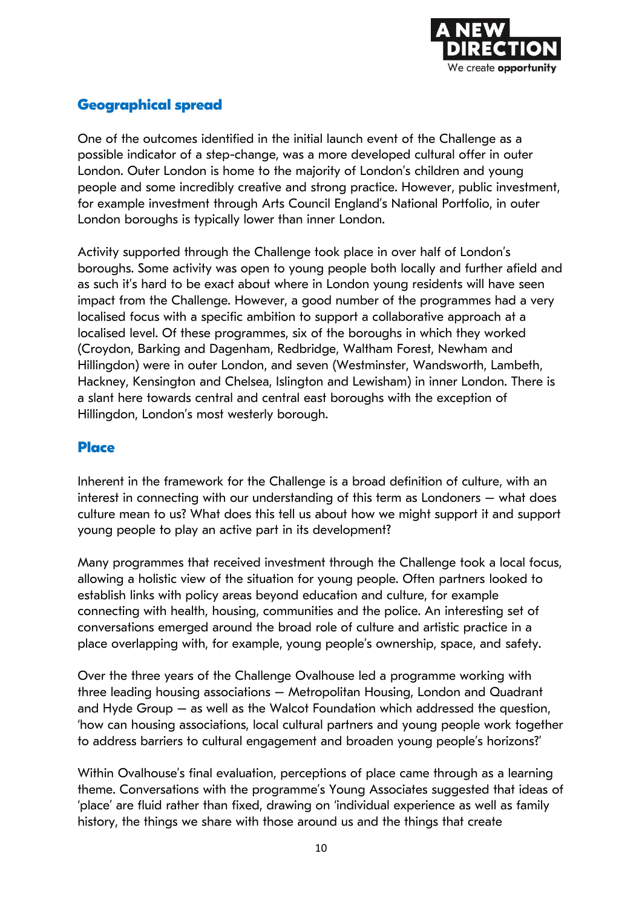

#### **Geographical spread**

One of the outcomes identified in the initial launch event of the Challenge as a possible indicator of a step-change, was a more developed cultural offer in outer London. Outer London is home to the majority of London's children and young people and some incredibly creative and strong practice. However, public investment, for example investment through Arts Council England's National Portfolio, in outer London boroughs is typically lower than inner London.

Activity supported through the Challenge took place in over half of London's boroughs. Some activity was open to young people both locally and further afield and as such it's hard to be exact about where in London young residents will have seen impact from the Challenge. However, a good number of the programmes had a very localised focus with a specific ambition to support a collaborative approach at a localised level. Of these programmes, six of the boroughs in which they worked (Croydon, Barking and Dagenham, Redbridge, Waltham Forest, Newham and Hillingdon) were in outer London, and seven (Westminster, Wandsworth, Lambeth, Hackney, Kensington and Chelsea, Islington and Lewisham) in inner London. There is a slant here towards central and central east boroughs with the exception of Hillingdon, London's most westerly borough.

#### **Place**

Inherent in the framework for the Challenge is a broad definition of culture, with an interest in connecting with our understanding of this term as Londoners – what does culture mean to us? What does this tell us about how we might support it and support young people to play an active part in its development?

Many programmes that received investment through the Challenge took a local focus, allowing a holistic view of the situation for young people. Often partners looked to establish links with policy areas beyond education and culture, for example connecting with health, housing, communities and the police. An interesting set of conversations emerged around the broad role of culture and artistic practice in a place overlapping with, for example, young people's ownership, space, and safety.

Over the three years of the Challenge Ovalhouse led a programme working with three leading housing associations – Metropolitan Housing, London and Quadrant and Hyde Group – as well as the Walcot Foundation which addressed the question, 'how can housing associations, local cultural partners and young people work together to address barriers to cultural engagement and broaden young people's horizons?'

Within Ovalhouse's final evaluation, perceptions of place came through as a learning theme. Conversations with the programme's Young Associates suggested that ideas of 'place' are fluid rather than fixed, drawing on 'individual experience as well as family history, the things we share with those around us and the things that create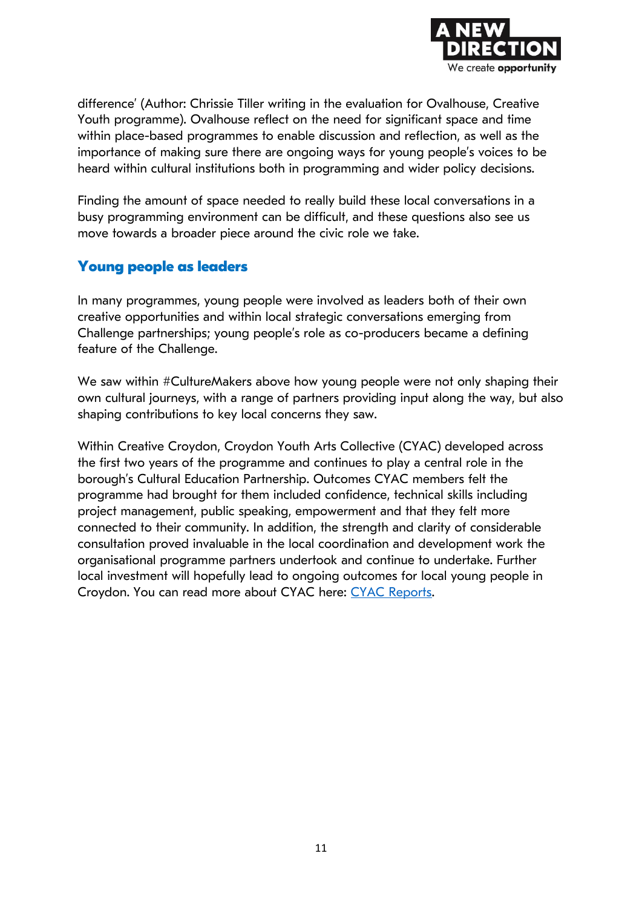

difference' (Author: Chrissie Tiller writing in the evaluation for Ovalhouse, Creative Youth programme). Ovalhouse reflect on the need for significant space and time within place-based programmes to enable discussion and reflection, as well as the importance of making sure there are ongoing ways for young people's voices to be heard within cultural institutions both in programming and wider policy decisions.

Finding the amount of space needed to really build these local conversations in a busy programming environment can be difficult, and these questions also see us move towards a broader piece around the civic role we take.

#### **Young people as leaders**

In many programmes, young people were involved as leaders both of their own creative opportunities and within local strategic conversations emerging from Challenge partnerships; young people's role as co-producers became a defining feature of the Challenge.

We saw within #CultureMakers above how young people were not only shaping their own cultural journeys, with a range of partners providing input along the way, but also shaping contributions to key local concerns they saw.

Within Creative Croydon, Croydon Youth Arts Collective (CYAC) developed across the first two years of the programme and continues to play a central role in the borough's Cultural Education Partnership. Outcomes CYAC members felt the programme had brought for them included confidence, technical skills including project management, public speaking, empowerment and that they felt more connected to their community. In addition, the strength and clarity of considerable consultation proved invaluable in the local coordination and development work the organisational programme partners undertook and continue to undertake. Further local investment will hopefully lead to ongoing outcomes for local young people in Croydon. You can read more about CYAC here: [CYAC Reports.](https://croydonyouthartscollective.co.uk/reports/)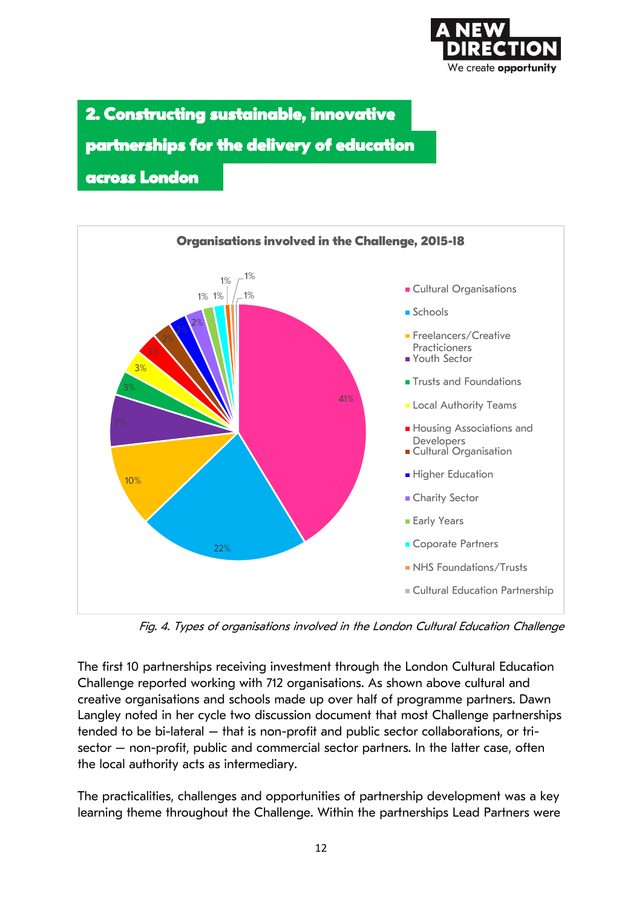

**2. Constructing sustainable, innovative**  partnerships for the delivery of education

**across London** 



Fig. 4. Types of organisations involved in the London Cultural Education Challenge

The first 10 partnerships receiving investment through the London Cultural Education Challenge reported working with 712 organisations. As shown above cultural and creative organisations and schools made up over half of programme partners. Dawn Langley noted in her cycle two discussion document that most Challenge partnerships tended to be bi-lateral – that is non-profit and public sector collaborations, or trisector – non-profit, public and commercial sector partners. In the latter case, often the local authority acts as intermediary.

The practicalities, challenges and opportunities of partnership development was a key learning theme throughout the Challenge. Within the partnerships Lead Partners were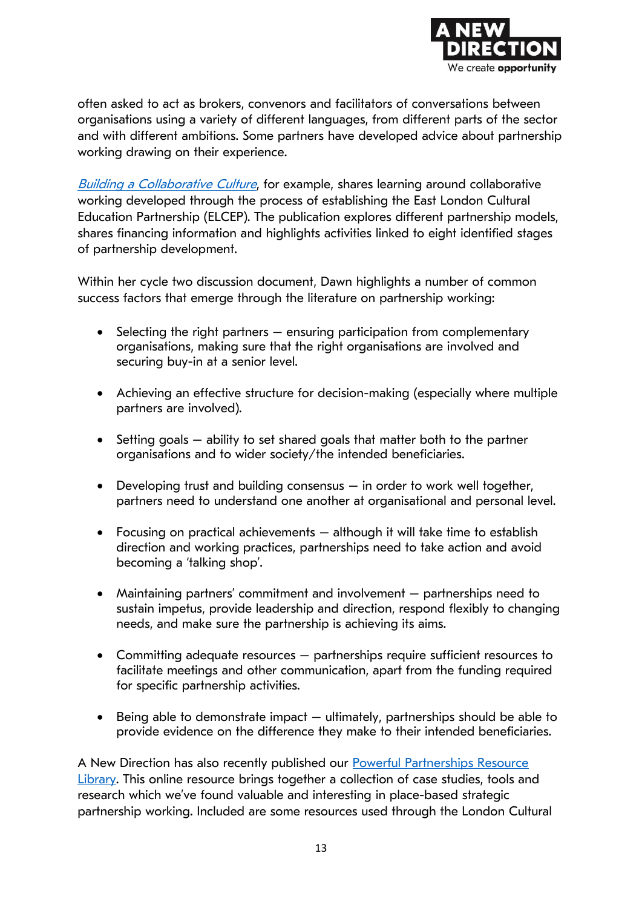

often asked to act as brokers, convenors and facilitators of conversations between organisations using a variety of different languages, from different parts of the sector and with different ambitions. Some partners have developed advice about partnership working drawing on their experience.

[Building a Collaborative Culture](https://www.culturemile.london/content/uploads/2017/11/Building-a-Collaborative-Culture-A4-report-FINAL-low-res-spreads.pdf), for example, shares learning around collaborative working developed through the process of establishing the East London Cultural Education Partnership (ELCEP). The publication explores different partnership models, shares financing information and highlights activities linked to eight identified stages of partnership development.

Within her cycle two discussion document, Dawn highlights a number of common success factors that emerge through the literature on partnership working:

- Selecting the right partners ensuring participation from complementary organisations, making sure that the right organisations are involved and securing buy-in at a senior level.
- Achieving an effective structure for decision-making (especially where multiple partners are involved).
- Setting goals ability to set shared goals that matter both to the partner organisations and to wider society/the intended beneficiaries.
- Developing trust and building consensus in order to work well together, partners need to understand one another at organisational and personal level.
- Focusing on practical achievements although it will take time to establish direction and working practices, partnerships need to take action and avoid becoming a 'talking shop'.
- Maintaining partners' commitment and involvement partnerships need to sustain impetus, provide leadership and direction, respond flexibly to changing needs, and make sure the partnership is achieving its aims.
- Committing adequate resources partnerships require sufficient resources to facilitate meetings and other communication, apart from the funding required for specific partnership activities.
- Being able to demonstrate impact ultimately, partnerships should be able to provide evidence on the difference they make to their intended beneficiaries.

A New Direction has also recently published our Powerful Partnerships Resource [Library.](https://www.anewdirection.org.uk/powerful-partnerships-resource-library) This online resource brings together a collection of case studies, tools and research which we've found valuable and interesting in place-based strategic partnership working. Included are some resources used through the London Cultural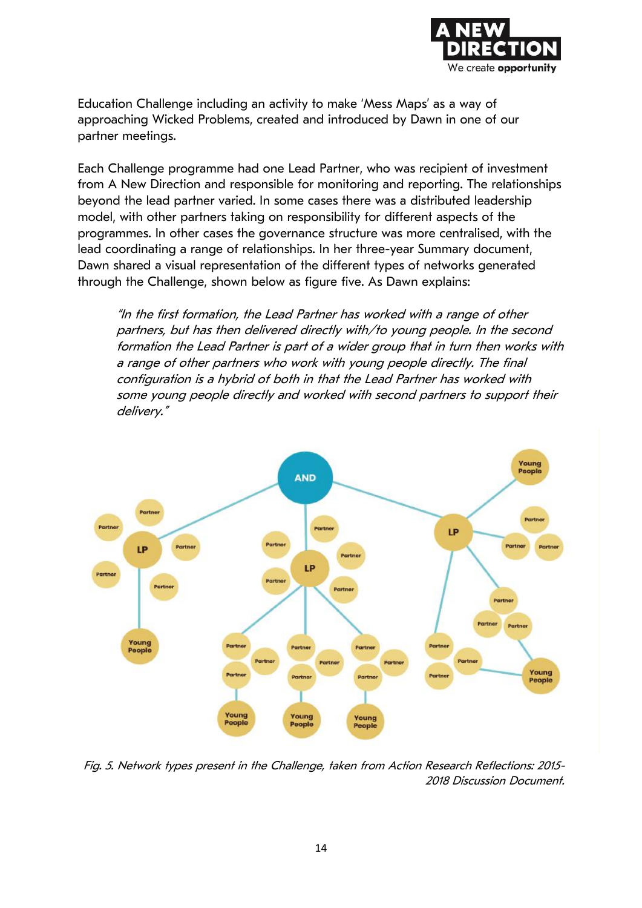

Education Challenge including an activity to make 'Mess Maps' as a way of approaching Wicked Problems, created and introduced by Dawn in one of our partner meetings.

Each Challenge programme had one Lead Partner, who was recipient of investment from A New Direction and responsible for monitoring and reporting. The relationships beyond the lead partner varied. In some cases there was a distributed leadership model, with other partners taking on responsibility for different aspects of the programmes. In other cases the governance structure was more centralised, with the lead coordinating a range of relationships. In her three-year Summary document, Dawn shared a visual representation of the different types of networks generated through the Challenge, shown below as figure five. As Dawn explains:

"In the first formation, the Lead Partner has worked with a range of other partners, but has then delivered directly with/to young people. In the second formation the Lead Partner is part of a wider group that in turn then works with a range of other partners who work with young people directly. The final configuration is a hybrid of both in that the Lead Partner has worked with some young people directly and worked with second partners to support their delivery."



Fig. 5. Network types present in the Challenge, taken from Action Research Reflections: 2015- 2018 Discussion Document.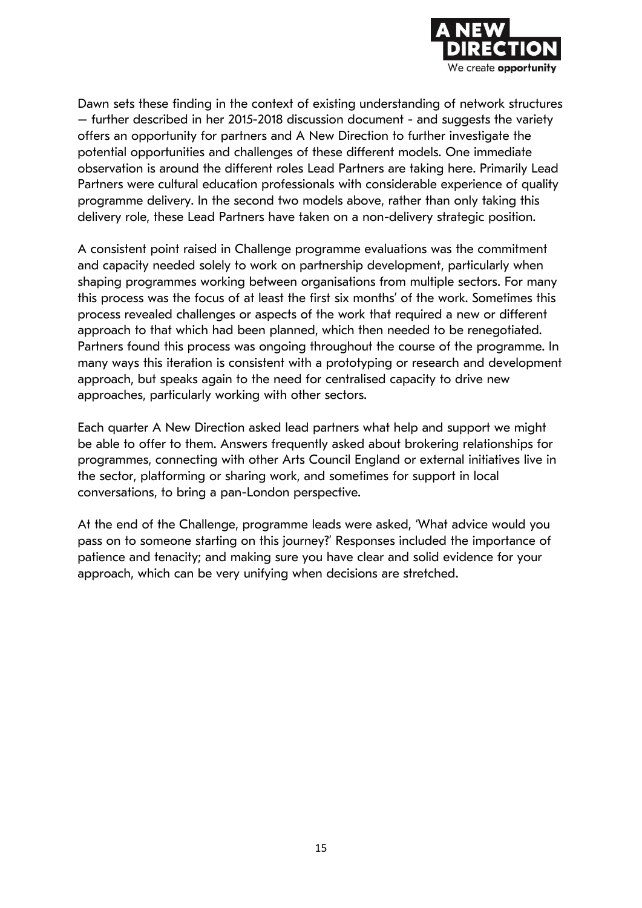

Dawn sets these finding in the context of existing understanding of network structures – further described in her 2015-2018 discussion document - and suggests the variety offers an opportunity for partners and A New Direction to further investigate the potential opportunities and challenges of these different models. One immediate observation is around the different roles Lead Partners are taking here. Primarily Lead Partners were cultural education professionals with considerable experience of quality programme delivery. In the second two models above, rather than only taking this delivery role, these Lead Partners have taken on a non-delivery strategic position.

A consistent point raised in Challenge programme evaluations was the commitment and capacity needed solely to work on partnership development, particularly when shaping programmes working between organisations from multiple sectors. For many this process was the focus of at least the first six months' of the work. Sometimes this process revealed challenges or aspects of the work that required a new or different approach to that which had been planned, which then needed to be renegotiated. Partners found this process was ongoing throughout the course of the programme. In many ways this iteration is consistent with a prototyping or research and development approach, but speaks again to the need for centralised capacity to drive new approaches, particularly working with other sectors.

Each quarter A New Direction asked lead partners what help and support we might be able to offer to them. Answers frequently asked about brokering relationships for programmes, connecting with other Arts Council England or external initiatives live in the sector, platforming or sharing work, and sometimes for support in local conversations, to bring a pan-London perspective.

At the end of the Challenge, programme leads were asked, 'What advice would you pass on to someone starting on this journey?' Responses included the importance of patience and tenacity; and making sure you have clear and solid evidence for your approach, which can be very unifying when decisions are stretched.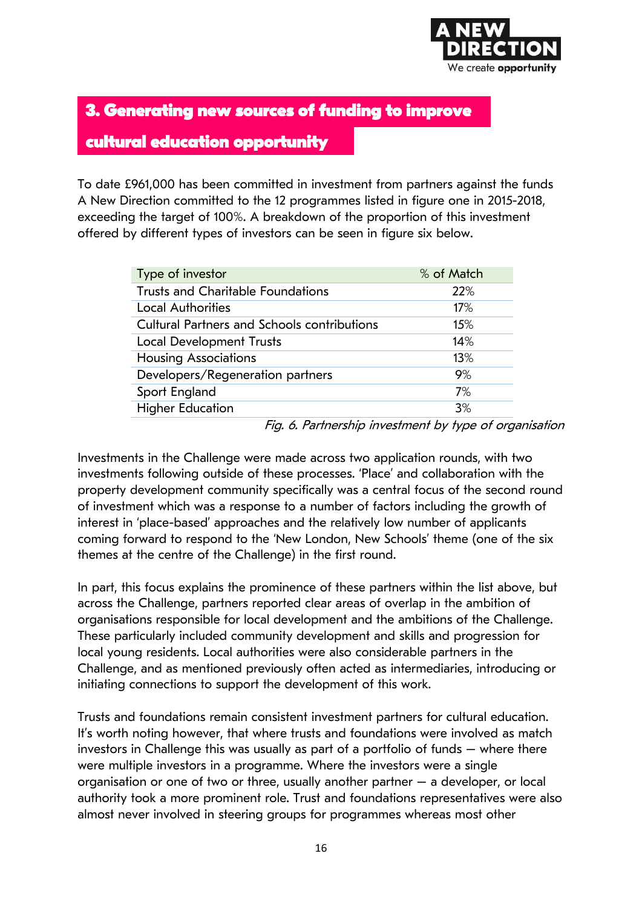

**3. Generating new sources of funding to improve** 

#### **cultural education opportunity**

To date £961,000 has been committed in investment from partners against the funds A New Direction committed to the 12 programmes listed in figure one in 2015-2018, exceeding the target of 100%. A breakdown of the proportion of this investment offered by different types of investors can be seen in figure six below.

| Type of investor                                   | % of Match |
|----------------------------------------------------|------------|
| <b>Trusts and Charitable Foundations</b>           | 22%        |
| <b>Local Authorities</b>                           | 17%        |
| <b>Cultural Partners and Schools contributions</b> | 15%        |
| <b>Local Development Trusts</b>                    | 14%        |
| <b>Housing Associations</b>                        | 13%        |
| Developers/Regeneration partners                   | 9%         |
| Sport England                                      | 7%         |
| <b>Higher Education</b>                            | 3%         |

Fig. 6. Partnership investment by type of organisation

Investments in the Challenge were made across two application rounds, with two investments following outside of these processes. 'Place' and collaboration with the property development community specifically was a central focus of the second round of investment which was a response to a number of factors including the growth of interest in 'place-based' approaches and the relatively low number of applicants coming forward to respond to the 'New London, New Schools' theme (one of the six themes at the centre of the Challenge) in the first round.

In part, this focus explains the prominence of these partners within the list above, but across the Challenge, partners reported clear areas of overlap in the ambition of organisations responsible for local development and the ambitions of the Challenge. These particularly included community development and skills and progression for local young residents. Local authorities were also considerable partners in the Challenge, and as mentioned previously often acted as intermediaries, introducing or initiating connections to support the development of this work.

Trusts and foundations remain consistent investment partners for cultural education. It's worth noting however, that where trusts and foundations were involved as match investors in Challenge this was usually as part of a portfolio of funds – where there were multiple investors in a programme. Where the investors were a single organisation or one of two or three, usually another partner – a developer, or local authority took a more prominent role. Trust and foundations representatives were also almost never involved in steering groups for programmes whereas most other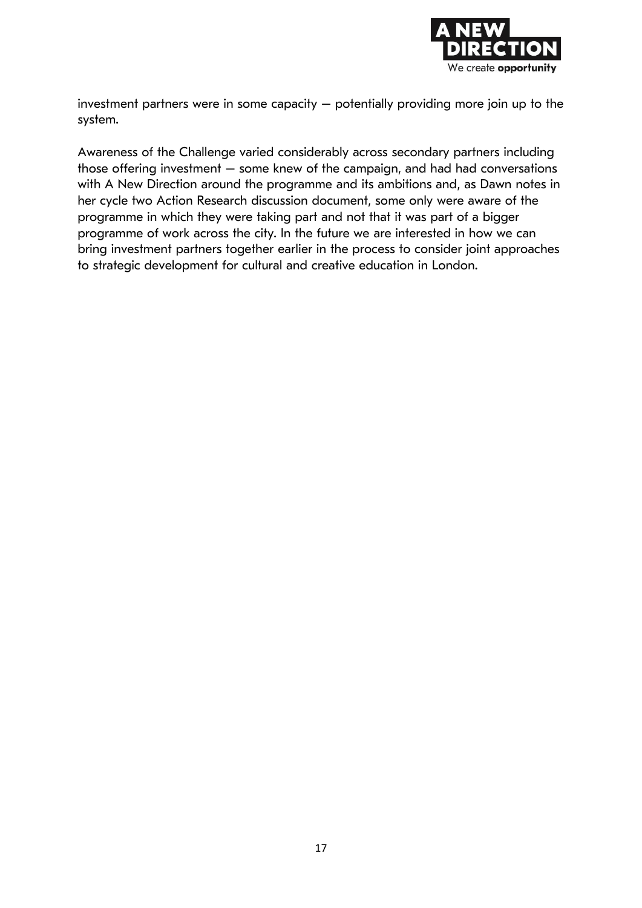

investment partners were in some capacity – potentially providing more join up to the system.

Awareness of the Challenge varied considerably across secondary partners including those offering investment  $-$  some knew of the campaign, and had had conversations with A New Direction around the programme and its ambitions and, as Dawn notes in her cycle two Action Research discussion document, some only were aware of the programme in which they were taking part and not that it was part of a bigger programme of work across the city. In the future we are interested in how we can bring investment partners together earlier in the process to consider joint approaches to strategic development for cultural and creative education in London.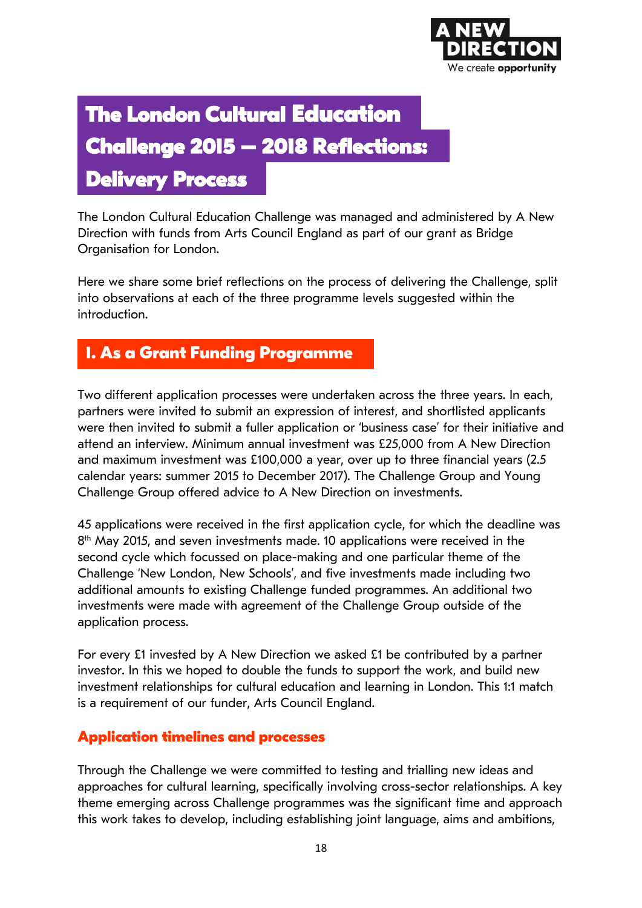

## **The London Cultural Education Challenge 2015 – 2018 Reflections: Delivery Process**

The London Cultural Education Challenge was managed and administered by A New Direction with funds from Arts Council England as part of our grant as Bridge Organisation for London.

Here we share some brief reflections on the process of delivering the Challenge, split into observations at each of the three programme levels suggested within the introduction.

### **1. As a Grant Funding Programme**

Two different application processes were undertaken across the three years. In each, partners were invited to submit an expression of interest, and shortlisted applicants were then invited to submit a fuller application or 'business case' for their initiative and attend an interview. Minimum annual investment was £25,000 from A New Direction and maximum investment was £100,000 a year, over up to three financial years (2.5 calendar years: summer 2015 to December 2017). The Challenge Group and Young Challenge Group offered advice to A New Direction on investments.

45 applications were received in the first application cycle, for which the deadline was 8 th May 2015, and seven investments made. 10 applications were received in the second cycle which focussed on place-making and one particular theme of the Challenge 'New London, New Schools', and five investments made including two additional amounts to existing Challenge funded programmes. An additional two investments were made with agreement of the Challenge Group outside of the application process.

For every £1 invested by A New Direction we asked £1 be contributed by a partner investor. In this we hoped to double the funds to support the work, and build new investment relationships for cultural education and learning in London. This 1:1 match is a requirement of our funder, Arts Council England.

#### **Application timelines and processes**

Through the Challenge we were committed to testing and trialling new ideas and approaches for cultural learning, specifically involving cross-sector relationships. A key theme emerging across Challenge programmes was the significant time and approach this work takes to develop, including establishing joint language, aims and ambitions,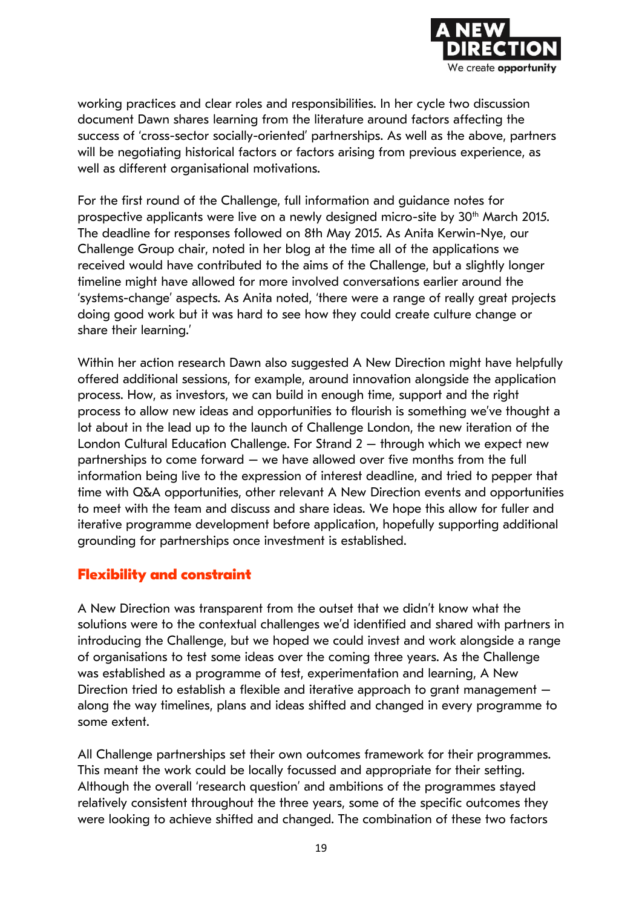

working practices and clear roles and responsibilities. In her cycle two discussion document Dawn shares learning from the literature around factors affecting the success of 'cross-sector socially-oriented' partnerships. As well as the above, partners will be negotiating historical factors or factors arising from previous experience, as well as different organisational motivations.

For the first round of the Challenge, full information and guidance notes for prospective applicants were live on a newly designed micro-site by 30<sup>th</sup> March 2015. The deadline for responses followed on 8th May 2015. As Anita Kerwin-Nye, our Challenge Group chair, noted in her blog at the time all of the applications we received would have contributed to the aims of the Challenge, but a slightly longer timeline might have allowed for more involved conversations earlier around the 'systems-change' aspects. As Anita noted, 'there were a range of really great projects doing good work but it was hard to see how they could create culture change or share their learning.'

Within her action research Dawn also suggested A New Direction might have helpfully offered additional sessions, for example, around innovation alongside the application process. How, as investors, we can build in enough time, support and the right process to allow new ideas and opportunities to flourish is something we've thought a lot about in the lead up to the launch of Challenge London, the new iteration of the London Cultural Education Challenge. For Strand 2 – through which we expect new partnerships to come forward – we have allowed over five months from the full information being live to the expression of interest deadline, and tried to pepper that time with Q&A opportunities, other relevant A New Direction events and opportunities to meet with the team and discuss and share ideas. We hope this allow for fuller and iterative programme development before application, hopefully supporting additional grounding for partnerships once investment is established.

#### **Flexibility and constraint**

A New Direction was transparent from the outset that we didn't know what the solutions were to the contextual challenges we'd identified and shared with partners in introducing the Challenge, but we hoped we could invest and work alongside a range of organisations to test some ideas over the coming three years. As the Challenge was established as a programme of test, experimentation and learning, A New Direction tried to establish a flexible and iterative approach to grant management – along the way timelines, plans and ideas shifted and changed in every programme to some extent.

All Challenge partnerships set their own outcomes framework for their programmes. This meant the work could be locally focussed and appropriate for their setting. Although the overall 'research question' and ambitions of the programmes stayed relatively consistent throughout the three years, some of the specific outcomes they were looking to achieve shifted and changed. The combination of these two factors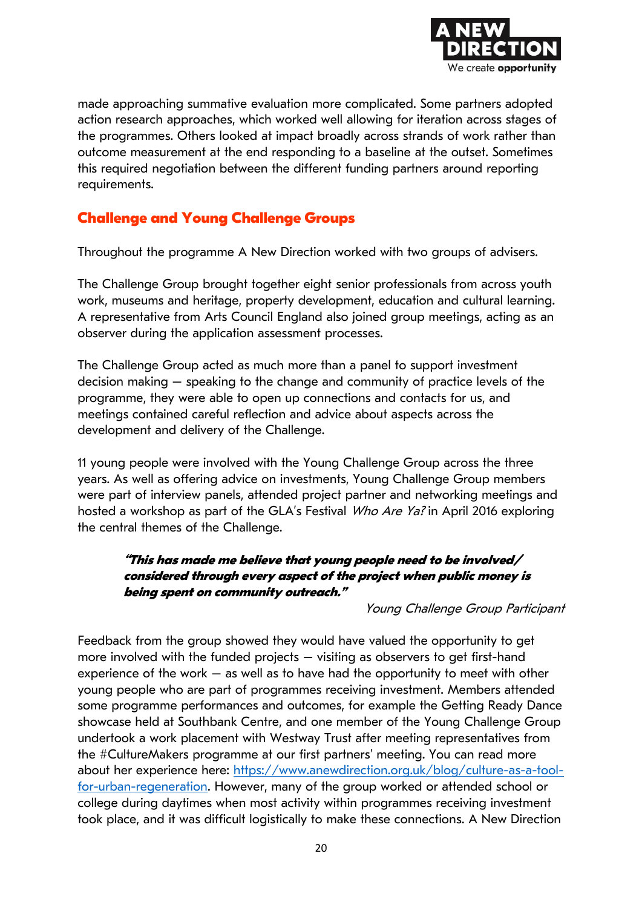

made approaching summative evaluation more complicated. Some partners adopted action research approaches, which worked well allowing for iteration across stages of the programmes. Others looked at impact broadly across strands of work rather than outcome measurement at the end responding to a baseline at the outset. Sometimes this required negotiation between the different funding partners around reporting requirements.

#### **Challenge and Young Challenge Groups**

Throughout the programme A New Direction worked with two groups of advisers.

The Challenge Group brought together eight senior professionals from across youth work, museums and heritage, property development, education and cultural learning. A representative from Arts Council England also joined group meetings, acting as an observer during the application assessment processes.

The Challenge Group acted as much more than a panel to support investment decision making – speaking to the change and community of practice levels of the programme, they were able to open up connections and contacts for us, and meetings contained careful reflection and advice about aspects across the development and delivery of the Challenge.

11 young people were involved with the Young Challenge Group across the three years. As well as offering advice on investments, Young Challenge Group members were part of interview panels, attended project partner and networking meetings and hosted a workshop as part of the GLA's Festival Who Are Ya? in April 2016 exploring the central themes of the Challenge.

#### **"This has made me believe that young people need to be involved/ considered through every aspect of the project when public money is being spent on community outreach."**

Young Challenge Group Participant

Feedback from the group showed they would have valued the opportunity to get more involved with the funded projects – visiting as observers to get first-hand experience of the work – as well as to have had the opportunity to meet with other young people who are part of programmes receiving investment. Members attended some programme performances and outcomes, for example the Getting Ready Dance showcase held at Southbank Centre, and one member of the Young Challenge Group undertook a work placement with Westway Trust after meeting representatives from the #CultureMakers programme at our first partners' meeting. You can read more about her experience here: [https://www.anewdirection.org.uk/blog/culture-as-a-tool](https://www.anewdirection.org.uk/blog/culture-as-a-tool-for-urban-regeneration)[for-urban-regeneration.](https://www.anewdirection.org.uk/blog/culture-as-a-tool-for-urban-regeneration) However, many of the group worked or attended school or college during daytimes when most activity within programmes receiving investment took place, and it was difficult logistically to make these connections. A New Direction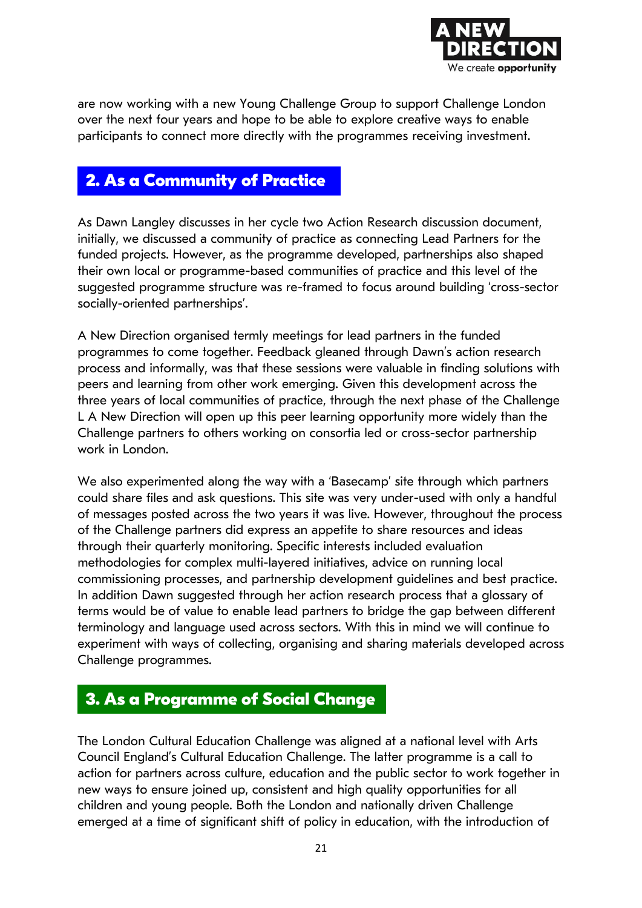

are now working with a new Young Challenge Group to support Challenge London over the next four years and hope to be able to explore creative ways to enable participants to connect more directly with the programmes receiving investment.

#### **2. As a Community of Practice**

As Dawn Langley discusses in her cycle two Action Research discussion document, initially, we discussed a community of practice as connecting Lead Partners for the funded projects. However, as the programme developed, partnerships also shaped their own local or programme-based communities of practice and this level of the suggested programme structure was re-framed to focus around building 'cross-sector socially-oriented partnerships'.

A New Direction organised termly meetings for lead partners in the funded programmes to come together. Feedback gleaned through Dawn's action research process and informally, was that these sessions were valuable in finding solutions with peers and learning from other work emerging. Given this development across the three years of local communities of practice, through the next phase of the Challenge L A New Direction will open up this peer learning opportunity more widely than the Challenge partners to others working on consortia led or cross-sector partnership work in London.

We also experimented along the way with a 'Basecamp' site through which partners could share files and ask questions. This site was very under-used with only a handful of messages posted across the two years it was live. However, throughout the process of the Challenge partners did express an appetite to share resources and ideas through their quarterly monitoring. Specific interests included evaluation methodologies for complex multi-layered initiatives, advice on running local commissioning processes, and partnership development guidelines and best practice. In addition Dawn suggested through her action research process that a glossary of terms would be of value to enable lead partners to bridge the gap between different terminology and language used across sectors. With this in mind we will continue to experiment with ways of collecting, organising and sharing materials developed across Challenge programmes.

#### **3. As a Programme of Social Change**

The London Cultural Education Challenge was aligned at a national level with Arts Council England's Cultural Education Challenge. The latter programme is a call to action for partners across culture, education and the public sector to work together in new ways to ensure joined up, consistent and high quality opportunities for all children and young people. Both the London and nationally driven Challenge emerged at a time of significant shift of policy in education, with the introduction of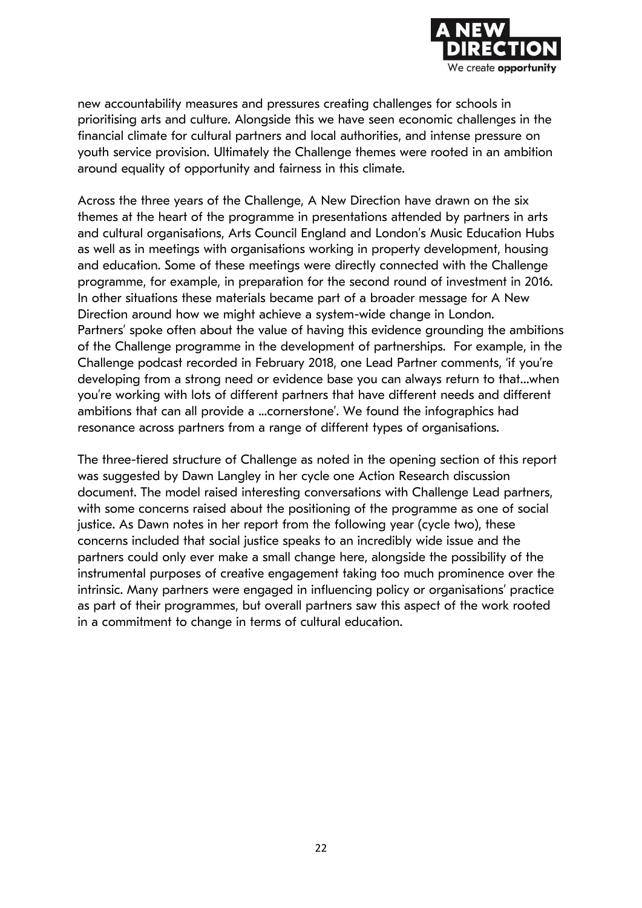

new accountability measures and pressures creating challenges for schools in prioritising arts and culture. Alongside this we have seen economic challenges in the financial climate for cultural partners and local authorities, and intense pressure on youth service provision. Ultimately the Challenge themes were rooted in an ambition around equality of opportunity and fairness in this climate.

Across the three years of the Challenge, A New Direction have drawn on the six themes at the heart of the programme in presentations attended by partners in arts and cultural organisations, Arts Council England and London's Music Education Hubs as well as in meetings with organisations working in property development, housing and education. Some of these meetings were directly connected with the Challenge programme, for example, in preparation for the second round of investment in 2016. In other situations these materials became part of a broader message for A New Direction around how we might achieve a system-wide change in London. Partners' spoke often about the value of having this evidence grounding the ambitions of the Challenge programme in the development of partnerships. For example, in the Challenge podcast recorded in February 2018, one Lead Partner comments, 'if you're developing from a strong need or evidence base you can always return to that…when you're working with lots of different partners that have different needs and different ambitions that can all provide a ...cornerstone'. We found the infographics had resonance across partners from a range of different types of organisations.

The three-tiered structure of Challenge as noted in the opening section of this report was suggested by Dawn Langley in her cycle one Action Research discussion document. The model raised interesting conversations with Challenge Lead partners, with some concerns raised about the positioning of the programme as one of social justice. As Dawn notes in her report from the following year (cycle two), these concerns included that social justice speaks to an incredibly wide issue and the partners could only ever make a small change here, alongside the possibility of the instrumental purposes of creative engagement taking too much prominence over the intrinsic. Many partners were engaged in influencing policy or organisations' practice as part of their programmes, but overall partners saw this aspect of the work rooted in a commitment to change in terms of cultural education.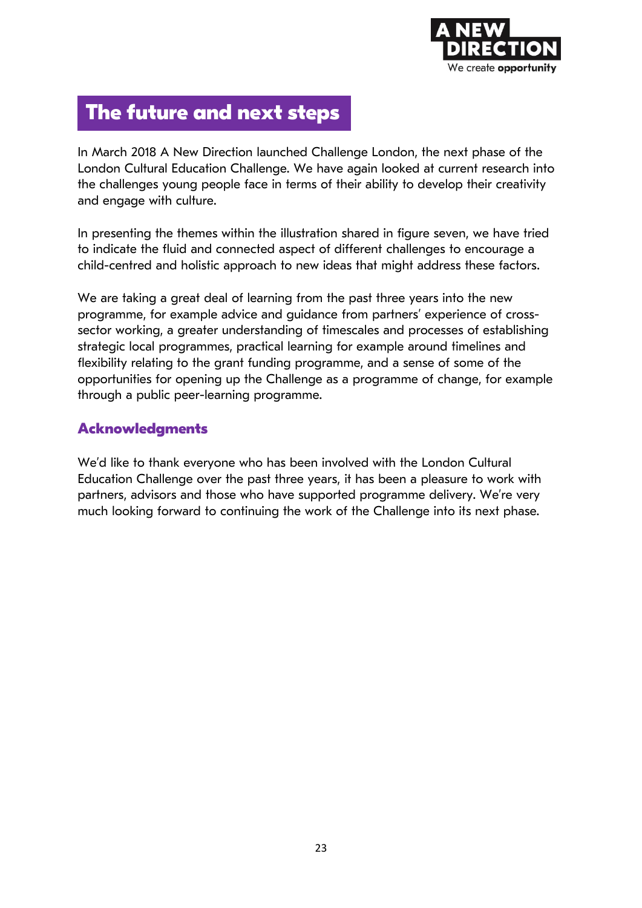

## **The future and next steps**

In March 2018 A New Direction launched Challenge London, the next phase of the London Cultural Education Challenge. We have again looked at current research into the challenges young people face in terms of their ability to develop their creativity and engage with culture.

In presenting the themes within the illustration shared in figure seven, we have tried to indicate the fluid and connected aspect of different challenges to encourage a child-centred and holistic approach to new ideas that might address these factors.

We are taking a great deal of learning from the past three years into the new programme, for example advice and guidance from partners' experience of crosssector working, a greater understanding of timescales and processes of establishing strategic local programmes, practical learning for example around timelines and flexibility relating to the grant funding programme, and a sense of some of the opportunities for opening up the Challenge as a programme of change, for example through a public peer-learning programme.

#### **Acknowledgments**

We'd like to thank everyone who has been involved with the London Cultural Education Challenge over the past three years, it has been a pleasure to work with partners, advisors and those who have supported programme delivery. We're very much looking forward to continuing the work of the Challenge into its next phase.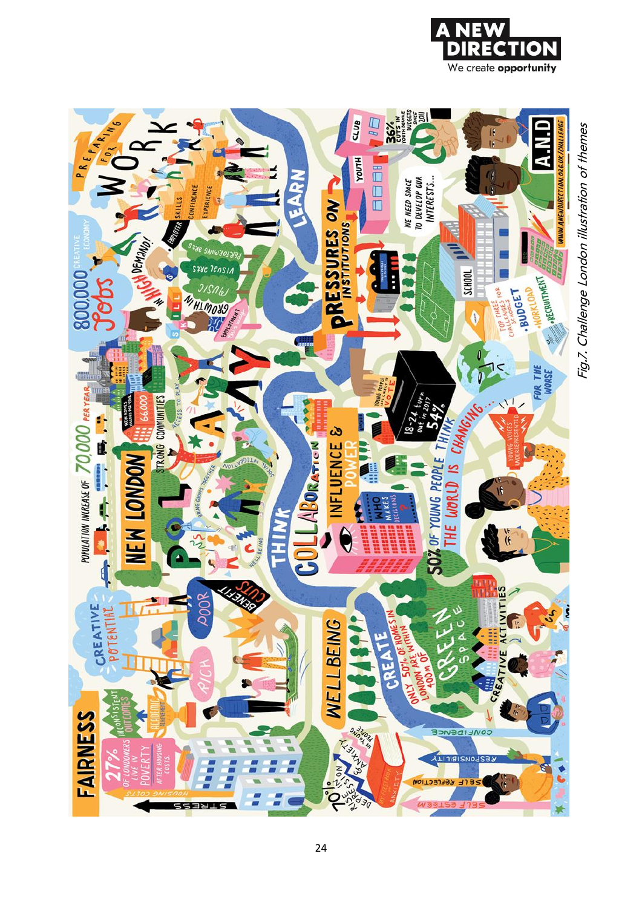



Fig.7. Challenge London illustration of themes Fig.7. Challenge London illustration of themes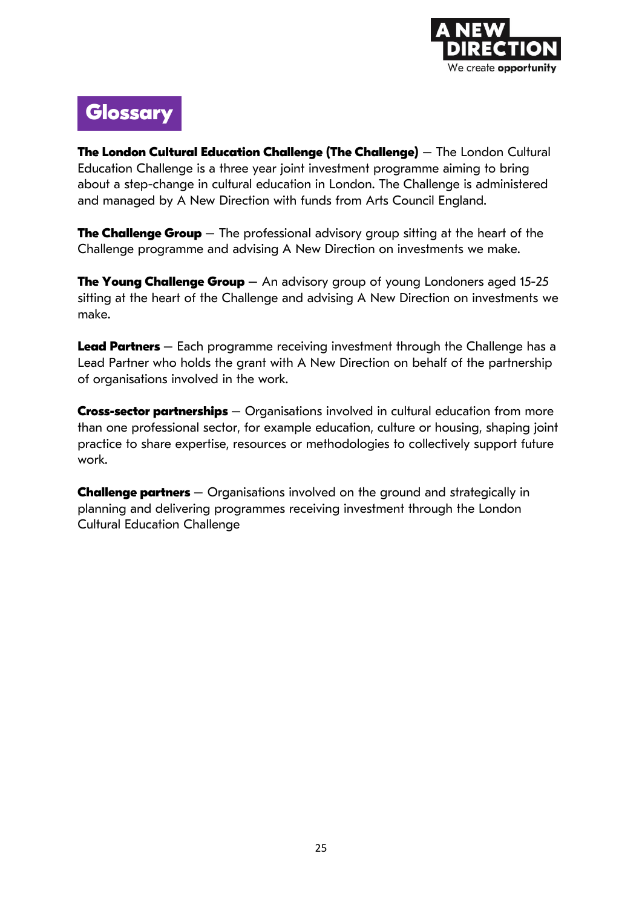

## **Glossary**

**The London Cultural Education Challenge (The Challenge)** – The London Cultural Education Challenge is a three year joint investment programme aiming to bring about a step-change in cultural education in London. The Challenge is administered and managed by A New Direction with funds from Arts Council England.

**The Challenge Group** – The professional advisory group sitting at the heart of the Challenge programme and advising A New Direction on investments we make.

**The Young Challenge Group** – An advisory group of young Londoners aged 15-25 sitting at the heart of the Challenge and advising A New Direction on investments we make.

**Lead Partners** – Each programme receiving investment through the Challenge has a Lead Partner who holds the grant with A New Direction on behalf of the partnership of organisations involved in the work.

**Cross-sector partnerships** – Organisations involved in cultural education from more than one professional sector, for example education, culture or housing, shaping joint practice to share expertise, resources or methodologies to collectively support future work.

**Challenge partners** – Organisations involved on the ground and strategically in planning and delivering programmes receiving investment through the London Cultural Education Challenge